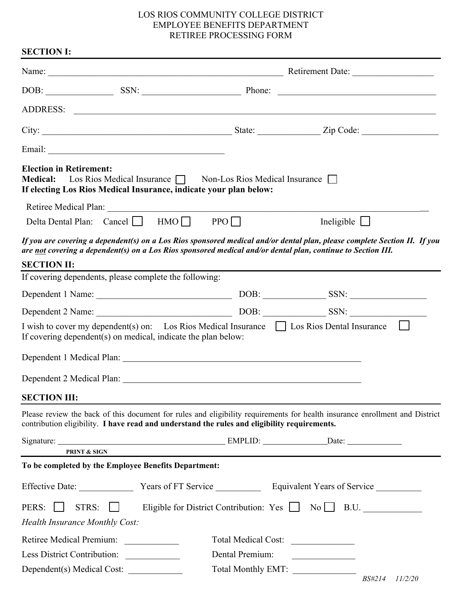## LOS RIOS COMMUNITY COLLEGE DISTRICT EMPLOYEE BENEFITS DEPARTMENT RETIREE PROCESSING FORM

| <b>SECTION I:</b>                                                                                                                                                       |                                                                         |                                                                                                                                                                                                                                      |
|-------------------------------------------------------------------------------------------------------------------------------------------------------------------------|-------------------------------------------------------------------------|--------------------------------------------------------------------------------------------------------------------------------------------------------------------------------------------------------------------------------------|
|                                                                                                                                                                         |                                                                         |                                                                                                                                                                                                                                      |
|                                                                                                                                                                         |                                                                         |                                                                                                                                                                                                                                      |
|                                                                                                                                                                         |                                                                         |                                                                                                                                                                                                                                      |
|                                                                                                                                                                         |                                                                         |                                                                                                                                                                                                                                      |
|                                                                                                                                                                         |                                                                         |                                                                                                                                                                                                                                      |
| <b>Election in Retirement:</b><br><b>Medical:</b><br>If electing Los Rios Medical Insurance, indicate your plan below:                                                  | Los Rios Medical Insurance $\Box$ Non-Los Rios Medical Insurance $\Box$ |                                                                                                                                                                                                                                      |
|                                                                                                                                                                         |                                                                         |                                                                                                                                                                                                                                      |
| Delta Dental Plan: Cancel ■ HMO ■ PPO                                                                                                                                   |                                                                         | Ineligible $\Box$                                                                                                                                                                                                                    |
| are not covering a dependent(s) on a Los Rios sponsored medical and/or dental plan, continue to Section III.                                                            |                                                                         | If you are covering a dependent(s) on a Los Rios sponsored medical and/or dental plan, please complete Section II. If you                                                                                                            |
| <b>SECTION II:</b>                                                                                                                                                      |                                                                         |                                                                                                                                                                                                                                      |
| If covering dependents, please complete the following:                                                                                                                  |                                                                         |                                                                                                                                                                                                                                      |
|                                                                                                                                                                         |                                                                         |                                                                                                                                                                                                                                      |
|                                                                                                                                                                         |                                                                         |                                                                                                                                                                                                                                      |
| I wish to cover my dependent(s) on: Los Rios Medical Insurance $\Box$ Los Rios Dental Insurance $\Box$<br>If covering dependent(s) on medical, indicate the plan below: |                                                                         |                                                                                                                                                                                                                                      |
|                                                                                                                                                                         |                                                                         |                                                                                                                                                                                                                                      |
|                                                                                                                                                                         |                                                                         |                                                                                                                                                                                                                                      |
| <b>SECTION III:</b>                                                                                                                                                     |                                                                         |                                                                                                                                                                                                                                      |
| contribution eligibility. I have read and understand the rules and eligibility requirements.                                                                            |                                                                         | Please review the back of this document for rules and eligibility requirements for health insurance enrollment and District                                                                                                          |
|                                                                                                                                                                         |                                                                         |                                                                                                                                                                                                                                      |
| <b>PRINT &amp; SIGN</b>                                                                                                                                                 |                                                                         |                                                                                                                                                                                                                                      |
| To be completed by the Employee Benefits Department:                                                                                                                    |                                                                         |                                                                                                                                                                                                                                      |
| Effective Date: Vears of FT Service Equivalent Years of Service                                                                                                         |                                                                         |                                                                                                                                                                                                                                      |
| PERS:    <br>STRS:                                                                                                                                                      |                                                                         | Eligible for District Contribution: Yes   No   B.U.                                                                                                                                                                                  |
| <b>Health Insurance Monthly Cost:</b>                                                                                                                                   |                                                                         |                                                                                                                                                                                                                                      |
| Retiree Medical Premium:                                                                                                                                                | Total Medical Cost:                                                     |                                                                                                                                                                                                                                      |
| Less District Contribution:                                                                                                                                             | Dental Premium:                                                         | <u> 1980 - Jan Stein Stein Stein Stein Stein Stein Stein Stein Stein Stein Stein Stein Stein Stein Stein Stein Stein Stein Stein Stein Stein Stein Stein Stein Stein Stein Stein Stein Stein Stein Stein Stein Stein Stein Stein</u> |
| Dependent(s) Medical Cost:                                                                                                                                              | Total Monthly EMT:                                                      | <b>BS#214</b><br>11/2/20                                                                                                                                                                                                             |